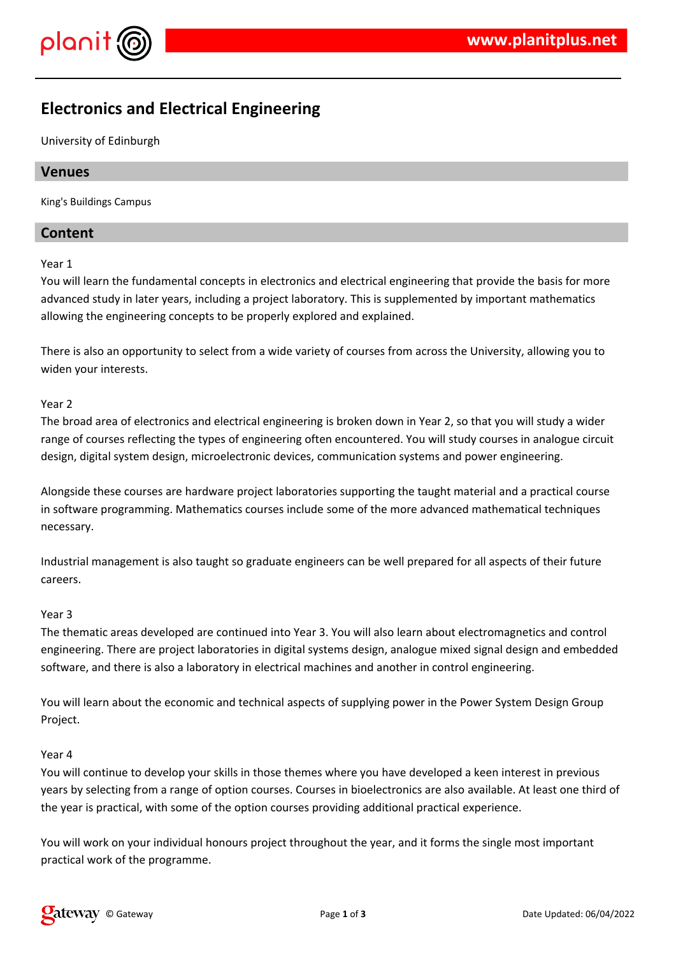

# **Electronics and Electrical Engineering**

University of Edinburgh

# **Venues**

King's Buildings Campus

# **Content**

Year 1

You will learn the fundamental concepts in electronics and electrical engineering that provide the basis for more advanced study in later years, including a project laboratory. This is supplemented by important mathematics allowing the engineering concepts to be properly explored and explained.

There is also an opportunity to select from a wide variety of courses from across the University, allowing you to widen your interests.

#### Year 2

The broad area of electronics and electrical engineering is broken down in Year 2, so that you will study a wider range of courses reflecting the types of engineering often encountered. You will study courses in analogue circuit design, digital system design, microelectronic devices, communication systems and power engineering.

Alongside these courses are hardware project laboratories supporting the taught material and a practical course in software programming. Mathematics courses include some of the more advanced mathematical techniques necessary.

Industrial management is also taught so graduate engineers can be well prepared for all aspects of their future careers.

#### Year 3

The thematic areas developed are continued into Year 3. You will also learn about electromagnetics and control engineering. There are project laboratories in digital systems design, analogue mixed signal design and embedded software, and there is also a laboratory in electrical machines and another in control engineering.

You will learn about the economic and technical aspects of supplying power in the Power System Design Group Project.

#### Year 4

You will continue to develop your skills in those themes where you have developed a keen interest in previous years by selecting from a range of option courses. Courses in bioelectronics are also available. At least one third of the year is practical, with some of the option courses providing additional practical experience.

You will work on your individual honours project throughout the year, and it forms the single most important practical work of the programme.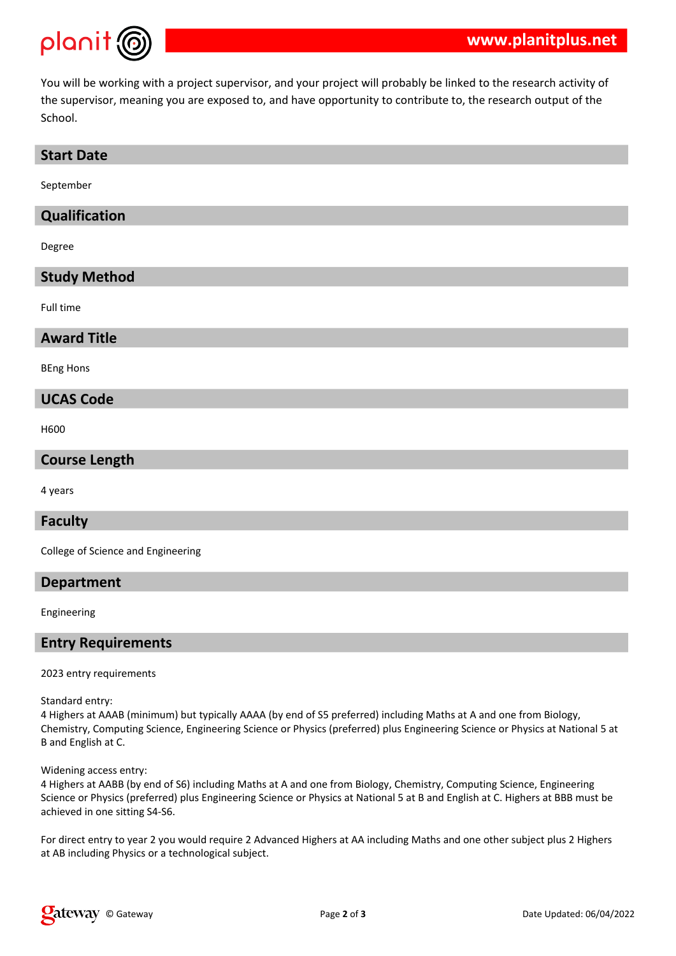

You will be working with a project supervisor, and your project will probably be linked to the research activity of the supervisor, meaning you are exposed to, and have opportunity to contribute to, the research output of the School.

#### **Start Date**

September

# **Qualification**

Degree

#### **Study Method**

Full time

#### **Award Title**

BEng Hons

#### **UCAS Code**

H600

#### **Course Length**

4 years

#### **Faculty**

College of Science and Engineering

#### **Department**

Engineering

#### **Entry Requirements**

2023 entry requirements

Standard entry:

4 Highers at AAAB (minimum) but typically AAAA (by end of S5 preferred) including Maths at A and one from Biology, Chemistry, Computing Science, Engineering Science or Physics (preferred) plus Engineering Science or Physics at National 5 at B and English at C.

Widening access entry:

4 Highers at AABB (by end of S6) including Maths at A and one from Biology, Chemistry, Computing Science, Engineering Science or Physics (preferred) plus Engineering Science or Physics at National 5 at B and English at C. Highers at BBB must be achieved in one sitting S4-S6.

For direct entry to year 2 you would require 2 Advanced Highers at AA including Maths and one other subject plus 2 Highers at AB including Physics or a technological subject.